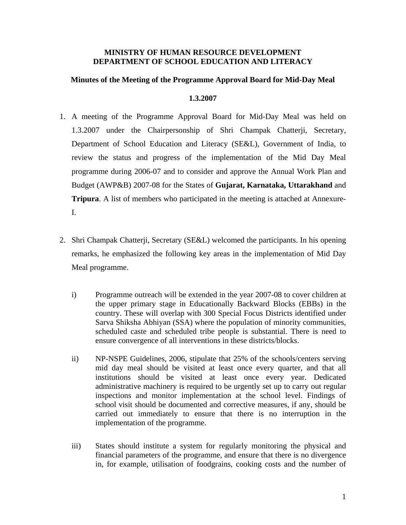### **MINISTRY OF HUMAN RESOURCE DEVELOPMENT DEPARTMENT OF SCHOOL EDUCATION AND LITERACY**

### **Minutes of the Meeting of the Programme Approval Board for Mid-Day Meal**

### **1.3.2007**

- 1. A meeting of the Programme Approval Board for Mid-Day Meal was held on 1.3.2007 under the Chairpersonship of Shri Champak Chatterji, Secretary, Department of School Education and Literacy (SE&L), Government of India, to review the status and progress of the implementation of the Mid Day Meal programme during 2006-07 and to consider and approve the Annual Work Plan and Budget (AWP&B) 2007-08 for the States of **Gujarat, Karnataka, Uttarakhand** and **Tripura**. A list of members who participated in the meeting is attached at Annexure-I.
- 2. Shri Champak Chatterji, Secretary (SE&L) welcomed the participants. In his opening remarks, he emphasized the following key areas in the implementation of Mid Day Meal programme.
	- i) Programme outreach will be extended in the year 2007-08 to cover children at the upper primary stage in Educationally Backward Blocks (EBBs) in the country. These will overlap with 300 Special Focus Districts identified under Sarva Shiksha Abhiyan (SSA) where the population of minority communities, scheduled caste and scheduled tribe people is substantial. There is need to ensure convergence of all interventions in these districts/blocks.
	- ii) NP-NSPE Guidelines, 2006, stipulate that 25% of the schools/centers serving mid day meal should be visited at least once every quarter, and that all institutions should be visited at least once every year. Dedicated administrative machinery is required to be urgently set up to carry out regular inspections and monitor implementation at the school level. Findings of school visit should be documented and corrective measures, if any, should be carried out immediately to ensure that there is no interruption in the implementation of the programme.
	- iii) States should institute a system for regularly monitoring the physical and financial parameters of the programme, and ensure that there is no divergence in, for example, utilisation of foodgrains, cooking costs and the number of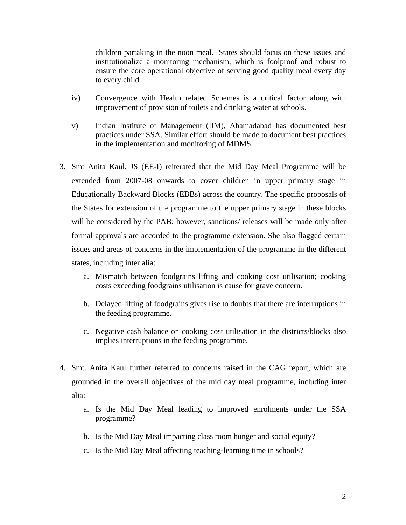children partaking in the noon meal. States should focus on these issues and institutionalize a monitoring mechanism, which is foolproof and robust to ensure the core operational objective of serving good quality meal every day to every child.

- iv) Convergence with Health related Schemes is a critical factor along with improvement of provision of toilets and drinking water at schools.
- v) Indian Institute of Management (IIM), Ahamadabad has documented best practices under SSA. Similar effort should be made to document best practices in the implementation and monitoring of MDMS.
- 3. Smt Anita Kaul, JS (EE-I) reiterated that the Mid Day Meal Programme will be extended from 2007-08 onwards to cover children in upper primary stage in Educationally Backward Blocks (EBBs) across the country. The specific proposals of the States for extension of the programme to the upper primary stage in these blocks will be considered by the PAB; however, sanctions/ releases will be made only after formal approvals are accorded to the programme extension. She also flagged certain issues and areas of concerns in the implementation of the programme in the different states, including inter alia:
	- a. Mismatch between foodgrains lifting and cooking cost utilisation; cooking costs exceeding foodgrains utilisation is cause for grave concern.
	- b. Delayed lifting of foodgrains gives rise to doubts that there are interruptions in the feeding programme.
	- c. Negative cash balance on cooking cost utilisation in the districts/blocks also implies interruptions in the feeding programme.
- 4. Smt. Anita Kaul further referred to concerns raised in the CAG report, which are grounded in the overall objectives of the mid day meal programme, including inter alia:
	- a. Is the Mid Day Meal leading to improved enrolments under the SSA programme?
	- b. Is the Mid Day Meal impacting class room hunger and social equity?
	- c. Is the Mid Day Meal affecting teaching-learning time in schools?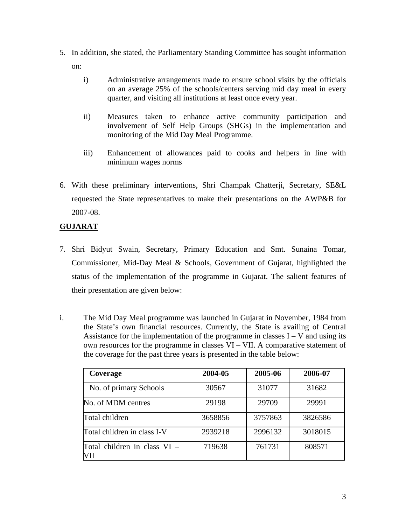- 5. In addition, she stated, the Parliamentary Standing Committee has sought information on:
	- i) Administrative arrangements made to ensure school visits by the officials on an average 25% of the schools/centers serving mid day meal in every quarter, and visiting all institutions at least once every year.
	- ii) Measures taken to enhance active community participation and involvement of Self Help Groups (SHGs) in the implementation and monitoring of the Mid Day Meal Programme.
	- iii) Enhancement of allowances paid to cooks and helpers in line with minimum wages norms
- 6. With these preliminary interventions, Shri Champak Chatterji, Secretary, SE&L requested the State representatives to make their presentations on the AWP&B for 2007-08.

# **GUJARAT**

- 7. Shri Bidyut Swain, Secretary, Primary Education and Smt. Sunaina Tomar, Commissioner, Mid-Day Meal & Schools, Government of Gujarat, highlighted the status of the implementation of the programme in Gujarat. The salient features of their presentation are given below:
- i. The Mid Day Meal programme was launched in Gujarat in November, 1984 from the State's own financial resources. Currently, the State is availing of Central Assistance for the implementation of the programme in classes  $I - V$  and using its own resources for the programme in classes VI – VII. A comparative statement of the coverage for the past three years is presented in the table below:

| Coverage                            | 2004-05 | 2005-06 | 2006-07 |
|-------------------------------------|---------|---------|---------|
| No. of primary Schools              | 30567   | 31077   | 31682   |
| No. of MDM centres                  | 29198   | 29709   | 29991   |
| Total children                      | 3658856 | 3757863 | 3826586 |
| Total children in class I-V         | 2939218 | 2996132 | 3018015 |
| Total children in class VI -<br>VII | 719638  | 761731  | 808571  |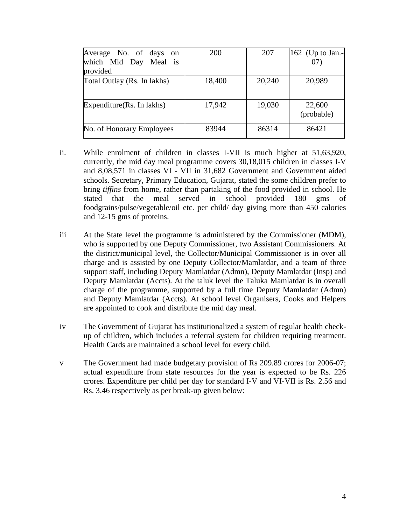| Average No. of days on<br>which Mid Day Meal is<br>provided | 200    | 207    | 162 (Up to Jan.-<br>07 |
|-------------------------------------------------------------|--------|--------|------------------------|
| Total Outlay (Rs. In lakhs)                                 | 18,400 | 20,240 | 20,989                 |
| Expenditure (Rs. In lakhs)                                  | 17,942 | 19,030 | 22,600<br>(probable)   |
| No. of Honorary Employees                                   | 83944  | 86314  | 86421                  |

- ii. While enrolment of children in classes I-VII is much higher at 51,63,920, currently, the mid day meal programme covers 30,18,015 children in classes I-V and 8,08,571 in classes VI - VII in 31,682 Government and Government aided schools. Secretary, Primary Education, Gujarat, stated the some children prefer to bring *tiffins* from home, rather than partaking of the food provided in school. He stated that the meal served in school provided 180 gms of foodgrains/pulse/vegetable/oil etc. per child/ day giving more than 450 calories and 12-15 gms of proteins.
- iii At the State level the programme is administered by the Commissioner (MDM), who is supported by one Deputy Commissioner, two Assistant Commissioners. At the district/municipal level, the Collector/Municipal Commissioner is in over all charge and is assisted by one Deputy Collector/Mamlatdar, and a team of three support staff, including Deputy Mamlatdar (Admn), Deputy Mamlatdar (Insp) and Deputy Mamlatdar (Accts). At the taluk level the Taluka Mamlatdar is in overall charge of the programme, supported by a full time Deputy Mamlatdar (Admn) and Deputy Mamlatdar (Accts). At school level Organisers, Cooks and Helpers are appointed to cook and distribute the mid day meal.
- iv The Government of Gujarat has institutionalized a system of regular health checkup of children, which includes a referral system for children requiring treatment. Health Cards are maintained a school level for every child.
- v The Government had made budgetary provision of Rs 209.89 crores for 2006-07; actual expenditure from state resources for the year is expected to be Rs. 226 crores. Expenditure per child per day for standard I-V and VI-VII is Rs. 2.56 and Rs. 3.46 respectively as per break-up given below: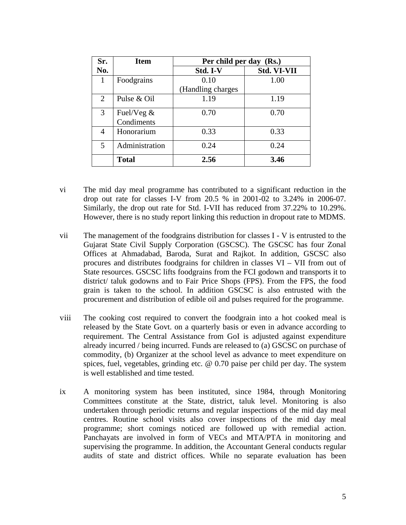| Sr.            | <b>Item</b>    | Per child per day (Rs.) |             |  |
|----------------|----------------|-------------------------|-------------|--|
| No.            |                | Std. I-V                | Std. VI-VII |  |
| 1              | Foodgrains     | 0.10                    | 1.00        |  |
|                |                | (Handling charges       |             |  |
| $\overline{2}$ | Pulse & Oil    | 1.19                    | 1.19        |  |
| 3              | Fuel/Veg &     | 0.70                    | 0.70        |  |
|                | Condiments     |                         |             |  |
| 4              | Honorarium     | 0.33                    | 0.33        |  |
| 5              | Administration | 0.24                    | 0.24        |  |
|                | <b>Total</b>   | 2.56                    | 3.46        |  |

vi The mid day meal programme has contributed to a significant reduction in the drop out rate for classes I-V from 20.5 % in 2001-02 to 3.24% in 2006-07. Similarly, the drop out rate for Std. I-VII has reduced from 37.22% to 10.29%. However, there is no study report linking this reduction in dropout rate to MDMS.

- vii The management of the foodgrains distribution for classes I V is entrusted to the Gujarat State Civil Supply Corporation (GSCSC). The GSCSC has four Zonal Offices at Ahmadabad, Baroda, Surat and Rajkot. In addition, GSCSC also procures and distributes foodgrains for children in classes VI – VII from out of State resources. GSCSC lifts foodgrains from the FCI godown and transports it to district/ taluk godowns and to Fair Price Shops (FPS). From the FPS, the food grain is taken to the school. In addition GSCSC is also entrusted with the procurement and distribution of edible oil and pulses required for the programme.
- viii The cooking cost required to convert the foodgrain into a hot cooked meal is released by the State Govt. on a quarterly basis or even in advance according to requirement. The Central Assistance from GoI is adjusted against expenditure already incurred / being incurred. Funds are released to (a) GSCSC on purchase of commodity, (b) Organizer at the school level as advance to meet expenditure on spices, fuel, vegetables, grinding etc. @ 0.70 paise per child per day. The system is well established and time tested.
- ix A monitoring system has been instituted, since 1984, through Monitoring Committees constitute at the State, district, taluk level. Monitoring is also undertaken through periodic returns and regular inspections of the mid day meal centres. Routine school visits also cover inspections of the mid day meal programme; short comings noticed are followed up with remedial action. Panchayats are involved in form of VECs and MTA/PTA in monitoring and supervising the programme. In addition, the Accountant General conducts regular audits of state and district offices. While no separate evaluation has been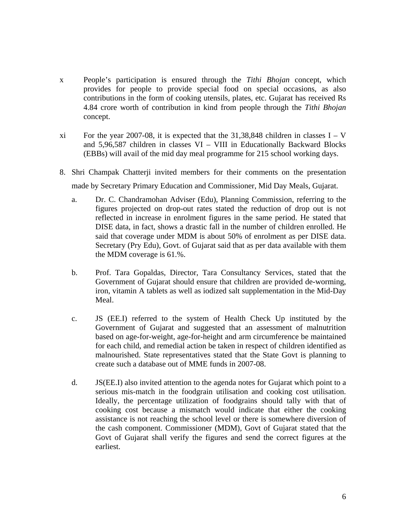- x People's participation is ensured through the *Tithi Bhojan* concept, which provides for people to provide special food on special occasions, as also contributions in the form of cooking utensils, plates, etc. Gujarat has received Rs 4.84 crore worth of contribution in kind from people through the *Tithi Bhojan* concept.
- xi For the year 2007-08, it is expected that the  $31,38,848$  children in classes I V and 5,96,587 children in classes VI – VIII in Educationally Backward Blocks (EBBs) will avail of the mid day meal programme for 215 school working days.
- 8. Shri Champak Chatterji invited members for their comments on the presentation made by Secretary Primary Education and Commissioner, Mid Day Meals, Gujarat.
	- a. Dr. C. Chandramohan Adviser (Edu), Planning Commission, referring to the figures projected on drop-out rates stated the reduction of drop out is not reflected in increase in enrolment figures in the same period. He stated that DISE data, in fact, shows a drastic fall in the number of children enrolled. He said that coverage under MDM is about 50% of enrolment as per DISE data. Secretary (Pry Edu), Govt. of Gujarat said that as per data available with them the MDM coverage is 61.%.
	- b. Prof. Tara Gopaldas, Director, Tara Consultancy Services, stated that the Government of Gujarat should ensure that children are provided de-worming, iron, vitamin A tablets as well as iodized salt supplementation in the Mid-Day Meal.
	- c. JS (EE.I) referred to the system of Health Check Up instituted by the Government of Gujarat and suggested that an assessment of malnutrition based on age-for-weight, age-for-height and arm circumference be maintained for each child, and remedial action be taken in respect of children identified as malnourished. State representatives stated that the State Govt is planning to create such a database out of MME funds in 2007-08.
	- d. JS(EE.I) also invited attention to the agenda notes for Gujarat which point to a serious mis-match in the foodgrain utilisation and cooking cost utilisation. Ideally, the percentage utilization of foodgrains should tally with that of cooking cost because a mismatch would indicate that either the cooking assistance is not reaching the school level or there is somewhere diversion of the cash component. Commissioner (MDM), Govt of Gujarat stated that the Govt of Gujarat shall verify the figures and send the correct figures at the earliest.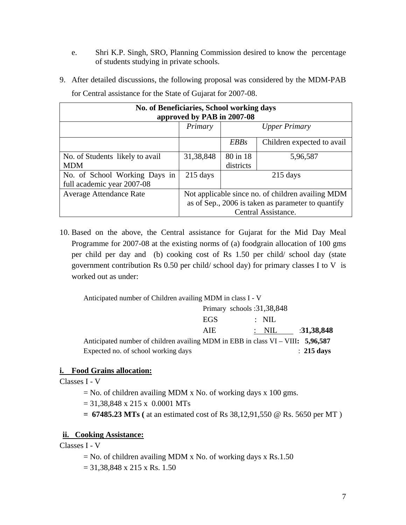- e. Shri K.P. Singh, SRO, Planning Commission desired to know the percentage of students studying in private schools.
- 9. After detailed discussions, the following proposal was considered by the MDM-PAB

| No. of Beneficiaries, School working days<br>approved by PAB in 2007-08 |                                                    |                    |                            |  |
|-------------------------------------------------------------------------|----------------------------------------------------|--------------------|----------------------------|--|
|                                                                         | Primary<br><b>Upper Primary</b>                    |                    |                            |  |
|                                                                         |                                                    | <i>EBBs</i>        | Children expected to avail |  |
| No. of Students likely to avail                                         | 31, 38, 848                                        | 80 in 18           | 5,96,587                   |  |
| <b>MDM</b>                                                              |                                                    | districts          |                            |  |
| No. of School Working Days in                                           | $215 \text{ days}$                                 | $215 \text{ days}$ |                            |  |
| full academic year 2007-08                                              |                                                    |                    |                            |  |
| <b>Average Attendance Rate</b>                                          | Not applicable since no. of children availing MDM  |                    |                            |  |
|                                                                         | as of Sep., 2006 is taken as parameter to quantify |                    |                            |  |
|                                                                         | Central Assistance.                                |                    |                            |  |

for Central assistance for the State of Gujarat for 2007-08.

10. Based on the above, the Central assistance for Gujarat for the Mid Day Meal Programme for 2007-08 at the existing norms of (a) foodgrain allocation of 100 gms per child per day and (b) cooking cost of Rs 1.50 per child/ school day (state government contribution Rs 0.50 per child/ school day) for primary classes I to V is worked out as under:

Anticipated number of Children availing MDM in class I - V

|                                                                                    | Primary schools: $31,38,848$ |                  |                       |
|------------------------------------------------------------------------------------|------------------------------|------------------|-----------------------|
|                                                                                    | EGS                          | $:$ NIL          |                       |
|                                                                                    | AIE                          | $\therefore$ NIL | :31,38,848            |
| Anticipated number of children availing MDM in EBB in class $VI - VIII$ : 5,96,587 |                              |                  |                       |
| Expected no. of school working days                                                |                              |                  | $\therefore$ 215 days |

## **i. Food Grains allocation:**

Classes I - V

- $=$  No. of children availing MDM x No. of working days x 100 gms.
- $= 31,38,848 \times 215 \times 0.0001 \text{ MTs}$
- **= 67485.23 MTs (** at an estimated cost of Rs 38,12,91,550 @ Rs. 5650 per MT )

## **ii. Cooking Assistance:**

Classes I - V

- $=$  No. of children availing MDM x No. of working days x Rs.1.50
- $= 31,38,848 \times 215 \times \text{Rs}. 1.50$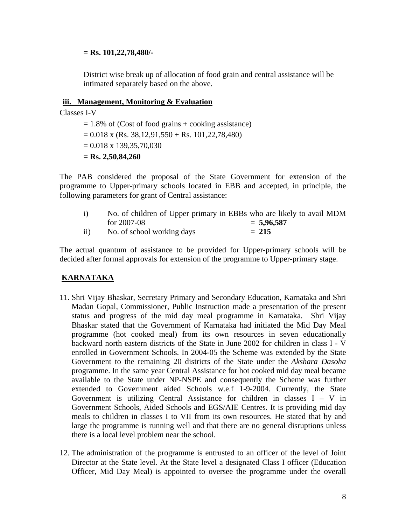### **= Rs. 101,22,78,480/-**

District wise break up of allocation of food grain and central assistance will be intimated separately based on the above.

### **iii. Management, Monitoring & Evaluation**

Classes I-V

 $= 1.8\%$  of (Cost of food grains + cooking assistance)  $= 0.018$  x (Rs. 38,12,91,550 + Rs. 101,22,78,480)  $= 0.018 \times 139,35,70,030$ **= Rs. 2,50,84,260** 

The PAB considered the proposal of the State Government for extension of the programme to Upper-primary schools located in EBB and accepted, in principle, the following parameters for grant of Central assistance:

| $\mathbf{i}$  | No. of children of Upper primary in EBBs who are likely to avail MDM |              |
|---------------|----------------------------------------------------------------------|--------------|
|               | for $2007 - 08$                                                      | $= 5,96,587$ |
| $\mathbf{ii}$ | No. of school working days                                           | $= 215$      |

The actual quantum of assistance to be provided for Upper-primary schools will be decided after formal approvals for extension of the programme to Upper-primary stage.

# **KARNATAKA**

- 11. Shri Vijay Bhaskar, Secretary Primary and Secondary Education, Karnataka and Shri Madan Gopal, Commissioner, Public Instruction made a presentation of the present status and progress of the mid day meal programme in Karnataka. Shri Vijay Bhaskar stated that the Government of Karnataka had initiated the Mid Day Meal programme (hot cooked meal) from its own resources in seven educationally backward north eastern districts of the State in June 2002 for children in class I - V enrolled in Government Schools. In 2004-05 the Scheme was extended by the State Government to the remaining 20 districts of the State under the *Akshara Dasoha*  programme. In the same year Central Assistance for hot cooked mid day meal became available to the State under NP-NSPE and consequently the Scheme was further extended to Government aided Schools w.e.f 1-9-2004. Currently, the State Government is utilizing Central Assistance for children in classes  $I - V$  in Government Schools, Aided Schools and EGS/AIE Centres. It is providing mid day meals to children in classes I to VII from its own resources. He stated that by and large the programme is running well and that there are no general disruptions unless there is a local level problem near the school.
- 12. The administration of the programme is entrusted to an officer of the level of Joint Director at the State level. At the State level a designated Class I officer (Education Officer, Mid Day Meal) is appointed to oversee the programme under the overall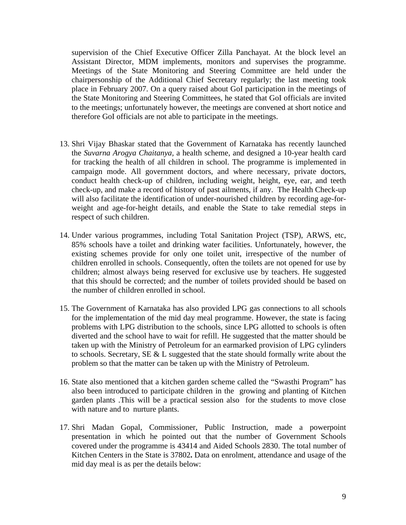supervision of the Chief Executive Officer Zilla Panchayat. At the block level an Assistant Director, MDM implements, monitors and supervises the programme. Meetings of the State Monitoring and Steering Committee are held under the chairpersonship of the Additional Chief Secretary regularly; the last meeting took place in February 2007. On a query raised about GoI participation in the meetings of the State Monitoring and Steering Committees, he stated that GoI officials are invited to the meetings; unfortunately however, the meetings are convened at short notice and therefore GoI officials are not able to participate in the meetings.

- 13. Shri Vijay Bhaskar stated that the Government of Karnataka has recently launched the *Suvarna Arogya Chaitanya,* a health scheme, and designed a 10-year health card for tracking the health of all children in school. The programme is implemented in campaign mode. All government doctors, and where necessary, private doctors, conduct health check-up of children, including weight, height, eye, ear, and teeth check-up, and make a record of history of past ailments, if any. The Health Check-up will also facilitate the identification of under-nourished children by recording age-forweight and age-for-height details, and enable the State to take remedial steps in respect of such children.
- 14. Under various programmes, including Total Sanitation Project (TSP), ARWS, etc, 85% schools have a toilet and drinking water facilities. Unfortunately, however, the existing schemes provide for only one toilet unit, irrespective of the number of children enrolled in schools. Consequently, often the toilets are not opened for use by children; almost always being reserved for exclusive use by teachers. He suggested that this should be corrected; and the number of toilets provided should be based on the number of children enrolled in school.
- 15. The Government of Karnataka has also provided LPG gas connections to all schools for the implementation of the mid day meal programme. However, the state is facing problems with LPG distribution to the schools, since LPG allotted to schools is often diverted and the school have to wait for refill. He suggested that the matter should be taken up with the Ministry of Petroleum for an earmarked provision of LPG cylinders to schools. Secretary, SE  $&$  L suggested that the state should formally write about the problem so that the matter can be taken up with the Ministry of Petroleum.
- 16. State also mentioned that a kitchen garden scheme called the "Swasthi Program" has also been introduced to participate children in the growing and planting of Kitchen garden plants .This will be a practical session also for the students to move close with nature and to nurture plants.
- 17. Shri Madan Gopal, Commissioner, Public Instruction, made a powerpoint presentation in which he pointed out that the number of Government Schools covered under the programme is 43414 and Aided Schools 2830. The total number of Kitchen Centers in the State is 37802**.** Data on enrolment, attendance and usage of the mid day meal is as per the details below: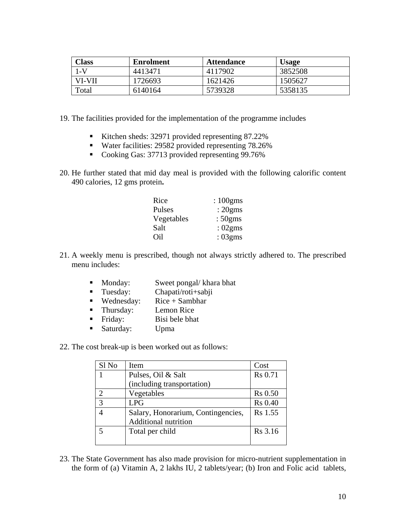| <b>Class</b> | Enrolment | <b>Attendance</b> | <b>Usage</b> |
|--------------|-----------|-------------------|--------------|
|              | 4413471   | 4117902           | 3852508      |
| VI-VII       | 1726693   | 1621426           | 1505627      |
| Total        | 6140164   | 5739328           | 5358135      |

- 19. The facilities provided for the implementation of the programme includes
	- Kitchen sheds: 32971 provided representing 87.22%
	- Water facilities: 29582 provided representing 78.26%
	- Cooking Gas: 37713 provided representing 99.76%
- 20. He further stated that mid day meal is provided with the following calorific content 490 calories, 12 gms protein**.**

| Rice       | $:100$ gms |
|------------|------------|
| Pulses     | :20gms     |
| Vegetables | :50gms     |
| Salt       | :02gms     |
| Oil        | :03gms     |

- 21. A weekly menu is prescribed, though not always strictly adhered to. The prescribed menu includes:
	- **Monday:** Sweet pongal/ khara bhat
	- Tuesday: Chapati/roti+sabji
	- **Wednesday:** Rice + Sambhar
	- **Thursday:** Lemon Rice
	- Friday: Bisi bele bhat
	- Saturday: Upma
- 22. The cost break-up is been worked out as follows:

| Sl No | Item                               | Cost           |
|-------|------------------------------------|----------------|
|       | Pulses, Oil & Salt                 | <b>Rs</b> 0.71 |
|       | (including transportation)         |                |
| ◠     | Vegetables                         | <b>Rs</b> 0.50 |
| 3     | <b>LPG</b>                         | <b>Rs</b> 0.40 |
|       | Salary, Honorarium, Contingencies, | Rs 1.55        |
|       | <b>Additional nutrition</b>        |                |
|       | Total per child                    | Rs 3.16        |
|       |                                    |                |

23. The State Government has also made provision for micro-nutrient supplementation in the form of (a) Vitamin A, 2 lakhs IU, 2 tablets/year; (b) Iron and Folic acid tablets,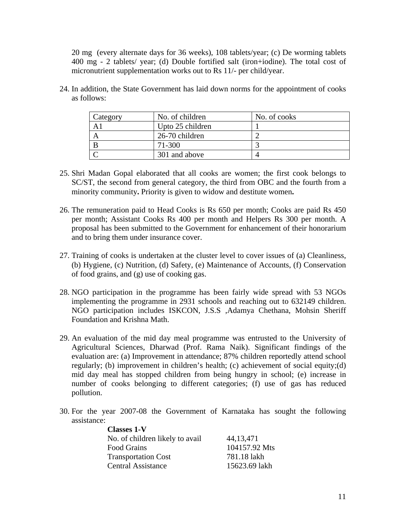20 mg (every alternate days for 36 weeks), 108 tablets/year; (c) De worming tablets 400 mg - 2 tablets/ year; (d) Double fortified salt (iron+iodine). The total cost of micronutrient supplementation works out to Rs 11/- per child/year.

| Category | No. of children  | No. of cooks |
|----------|------------------|--------------|
|          | Upto 25 children |              |
|          | 26-70 children   |              |
|          | 71-300           |              |
|          | 301 and above    |              |

24. In addition, the State Government has laid down norms for the appointment of cooks as follows:

- 25. Shri Madan Gopal elaborated that all cooks are women; the first cook belongs to SC/ST, the second from general category, the third from OBC and the fourth from a minority community**.** Priority is given to widow and destitute women**.**
- 26. The remuneration paid to Head Cooks is Rs 650 per month; Cooks are paid Rs 450 per month; Assistant Cooks Rs 400 per month and Helpers Rs 300 per month. A proposal has been submitted to the Government for enhancement of their honorarium and to bring them under insurance cover.
- 27. Training of cooks is undertaken at the cluster level to cover issues of (a) Cleanliness, (b) Hygiene, (c) Nutrition, (d) Safety, (e) Maintenance of Accounts, (f) Conservation of food grains, and (g) use of cooking gas.
- 28. NGO participation in the programme has been fairly wide spread with 53 NGOs implementing the programme in 2931 schools and reaching out to 632149 children. NGO participation includes ISKCON, J.S.S ,Adamya Chethana, Mohsin Sheriff Foundation and Krishna Math.
- 29. An evaluation of the mid day meal programme was entrusted to the University of Agricultural Sciences, Dharwad (Prof. Rama Naik). Significant findings of the evaluation are: (a) Improvement in attendance; 87% children reportedly attend school regularly; (b) improvement in children's health; (c) achievement of social equity;(d) mid day meal has stopped children from being hungry in school; (e) increase in number of cooks belonging to different categories; (f) use of gas has reduced pollution.
- 30. For the year 2007-08 the Government of Karnataka has sought the following assistance:

| <b>Classes 1-V</b>              |               |
|---------------------------------|---------------|
| No. of children likely to avail | 44, 13, 471   |
| <b>Food Grains</b>              | 104157.92 Mts |
| <b>Transportation Cost</b>      | 781.18 lakh   |
| <b>Central Assistance</b>       | 15623.69 lakh |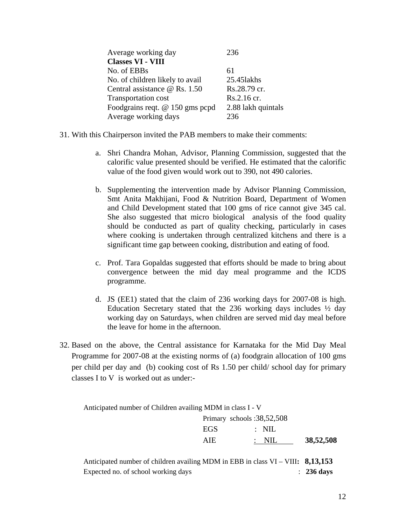| Average working day                  | 236                |
|--------------------------------------|--------------------|
| <b>Classes VI - VIII</b>             |                    |
| No. of EBBs                          | 61                 |
| No. of children likely to avail      | 25.451akhs         |
| Central assistance $\omega$ Rs. 1.50 | Rs.28.79 cr.       |
| <b>Transportation cost</b>           | Rs.2.16 cr.        |
| Foodgrains reqt. @ 150 gms pcpd      | 2.88 lakh quintals |
| Average working days                 | 236                |

- 31. With this Chairperson invited the PAB members to make their comments:
	- a. Shri Chandra Mohan, Advisor, Planning Commission, suggested that the calorific value presented should be verified. He estimated that the calorific value of the food given would work out to 390, not 490 calories.
	- b. Supplementing the intervention made by Advisor Planning Commission, Smt Anita Makhijani, Food & Nutrition Board, Department of Women and Child Development stated that 100 gms of rice cannot give 345 cal. She also suggested that micro biological analysis of the food quality should be conducted as part of quality checking, particularly in cases where cooking is undertaken through centralized kitchens and there is a significant time gap between cooking, distribution and eating of food.
	- c. Prof. Tara Gopaldas suggested that efforts should be made to bring about convergence between the mid day meal programme and the ICDS programme.
	- d. JS (EE1) stated that the claim of 236 working days for 2007-08 is high. Education Secretary stated that the 236 working days includes ½ day working day on Saturdays, when children are served mid day meal before the leave for home in the afternoon.
- 32. Based on the above, the Central assistance for Karnataka for the Mid Day Meal Programme for 2007-08 at the existing norms of (a) foodgrain allocation of 100 gms per child per day and (b) cooking cost of Rs 1.50 per child/ school day for primary classes I to V is worked out as under:-

Anticipated number of Children availing MDM in class I - V

| Primary schools: $38,52,508$ |                  |           |  |
|------------------------------|------------------|-----------|--|
| EGS.                         | $\therefore$ NIL |           |  |
| AIE.                         | $\therefore$ NIL | 38,52,508 |  |

Anticipated number of children availing MDM in EBB in class VI – VIII**: 8,13,153** Expected no. of school working days : **236 days**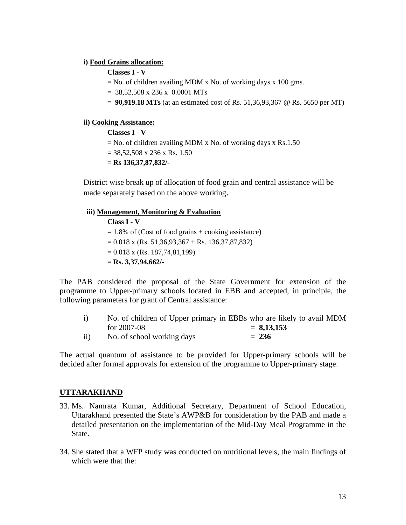### **i) Food Grains allocation:**

### **Classes I - V**

 $=$  No. of children availing MDM x No. of working days x 100 gms.

 $= 38,52,508 \times 236 \times 0.0001 \text{ MTs}$ 

= **90,919.18 MTs** (at an estimated cost of Rs. 51,36,93,367 @ Rs. 5650 per MT)

### **ii) Cooking Assistance:**

### **Classes I - V**

- $=$  No. of children availing MDM x No. of working days x Rs.1.50
- $= 38,52,508 \times 236 \times \text{Rs}. 1.50$

= **Rs 136,37,87,832/-**

District wise break up of allocation of food grain and central assistance will be made separately based on the above working.

#### **iii) Management, Monitoring & Evaluation Class I - V**

 $= 1.8\%$  of (Cost of food grains + cooking assistance)  $= 0.018$  x (Rs. 51,36,93,367 + Rs. 136,37,87,832)  $= 0.018$  x (Rs. 187,74,81,199) = **Rs. 3,37,94,662/-**

The PAB considered the proposal of the State Government for extension of the programme to Upper-primary schools located in EBB and accepted, in principle, the following parameters for grant of Central assistance:

| $\mathbf{i}$  | No. of children of Upper primary in EBBs who are likely to avail MDM |              |
|---------------|----------------------------------------------------------------------|--------------|
|               | for $2007 - 08$                                                      | $= 8,13,153$ |
| $\mathbf{ii}$ | No. of school working days                                           | $= 236$      |

The actual quantum of assistance to be provided for Upper-primary schools will be decided after formal approvals for extension of the programme to Upper-primary stage.

### **UTTARAKHAND**

- 33. Ms. Namrata Kumar, Additional Secretary, Department of School Education, Uttarakhand presented the State's AWP&B for consideration by the PAB and made a detailed presentation on the implementation of the Mid-Day Meal Programme in the State.
- 34. She stated that a WFP study was conducted on nutritional levels, the main findings of which were that the: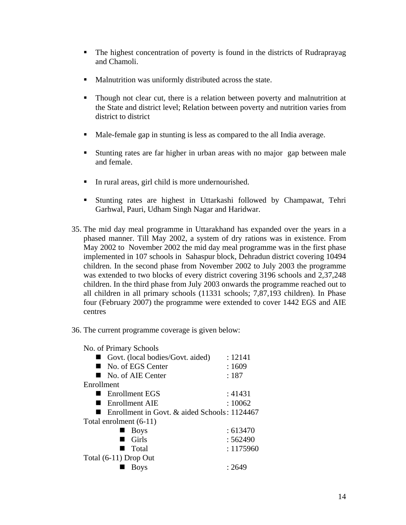- The highest concentration of poverty is found in the districts of Rudraprayag and Chamoli.
- **Malnutrition was uniformly distributed across the state.**
- Though not clear cut, there is a relation between poverty and malnutrition at the State and district level; Relation between poverty and nutrition varies from district to district
- Male-female gap in stunting is less as compared to the all India average.
- Stunting rates are far higher in urban areas with no major gap between male and female.
- In rural areas, girl child is more undernourished.
- Stunting rates are highest in Uttarkashi followed by Champawat, Tehri Garhwal, Pauri, Udham Singh Nagar and Haridwar.
- 35. The mid day meal programme in Uttarakhand has expanded over the years in a phased manner. Till May 2002, a system of dry rations was in existence. From May 2002 to November 2002 the mid day meal programme was in the first phase implemented in 107 schools in Sahaspur block, Dehradun district covering 10494 children. In the second phase from November 2002 to July 2003 the programme was extended to two blocks of every district covering 3196 schools and 2,37,248 children. In the third phase from July 2003 onwards the programme reached out to all children in all primary schools (11331 schools; 7,87,193 children). In Phase four (February 2007) the programme were extended to cover 1442 EGS and AIE centres
- 36. The current programme coverage is given below:

No. of Primary Schools

| $\cdots$                                     |           |
|----------------------------------------------|-----------|
| Govt. (local bodies/Govt. aided)             | : 12141   |
| No. of EGS Center                            | :1609     |
| No. of AIE Center                            | :187      |
| Enrollment                                   |           |
| ■ Enrollment EGS                             | : 41431   |
| Enrollment AIE                               | :10062    |
| Enrollment in Govt. & aided Schools: 1124467 |           |
| Total enrolment (6-11)                       |           |
| <b>Boys</b>                                  | : 613470  |
| Girls                                        | :562490   |
| Total<br>٠                                   | : 1175960 |
| Total (6-11) Drop Out                        |           |
| Bovs                                         | : 2649    |
|                                              |           |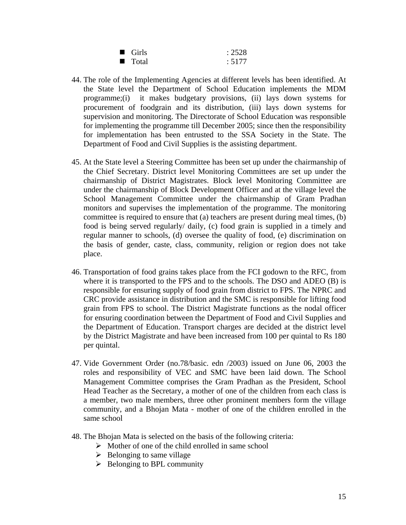| $\blacksquare$ Girls | : 2528 |
|----------------------|--------|
| ■ Total              | : 5177 |

- 44. The role of the Implementing Agencies at different levels has been identified. At the State level the Department of School Education implements the MDM programme;(i) it makes budgetary provisions, (ii) lays down systems for procurement of foodgrain and its distribution, (iii) lays down systems for supervision and monitoring. The Directorate of School Education was responsible for implementing the programme till December 2005; since then the responsibility for implementation has been entrusted to the SSA Society in the State. The Department of Food and Civil Supplies is the assisting department.
- 45. At the State level a Steering Committee has been set up under the chairmanship of the Chief Secretary. District level Monitoring Committees are set up under the chairmanship of District Magistrates. Block level Monitoring Committee are under the chairmanship of Block Development Officer and at the village level the School Management Committee under the chairmanship of Gram Pradhan monitors and supervises the implementation of the programme. The monitoring committee is required to ensure that (a) teachers are present during meal times, (b) food is being served regularly/ daily, (c) food grain is supplied in a timely and regular manner to schools, (d) oversee the quality of food, (e) discrimination on the basis of gender, caste, class, community, religion or region does not take place.
- 46. Transportation of food grains takes place from the FCI godown to the RFC, from where it is transported to the FPS and to the schools. The DSO and ADEO (B) is responsible for ensuring supply of food grain from district to FPS. The NPRC and CRC provide assistance in distribution and the SMC is responsible for lifting food grain from FPS to school. The District Magistrate functions as the nodal officer for ensuring coordination between the Department of Food and Civil Supplies and the Department of Education. Transport charges are decided at the district level by the District Magistrate and have been increased from 100 per quintal to Rs 180 per quintal.
- 47. Vide Government Order (no.78/basic. edn /2003) issued on June 06, 2003 the roles and responsibility of VEC and SMC have been laid down. The School Management Committee comprises the Gram Pradhan as the President, School Head Teacher as the Secretary, a mother of one of the children from each class is a member, two male members, three other prominent members form the village community, and a Bhojan Mata - mother of one of the children enrolled in the same school
- 48. The Bhojan Mata is selected on the basis of the following criteria:
	- $\triangleright$  Mother of one of the child enrolled in same school
	- $\triangleright$  Belonging to same village
	- $\triangleright$  Belonging to BPL community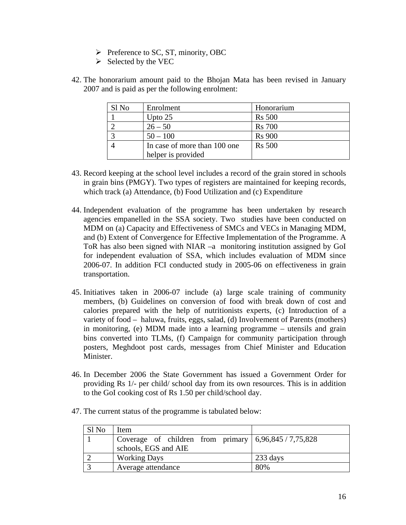- $\triangleright$  Preference to SC, ST, minority, OBC
- $\triangleright$  Selected by the VEC
- 42. The honorarium amount paid to the Bhojan Mata has been revised in January 2007 and is paid as per the following enrolment:

| Sl No | Enrolment                    | Honorarium    |
|-------|------------------------------|---------------|
|       | Upto $25$                    | <b>Rs</b> 500 |
|       | $26 - 50$                    | <b>Rs</b> 700 |
|       | $50 - 100$                   | <b>Rs</b> 900 |
|       | In case of more than 100 one | <b>Rs</b> 500 |
|       | helper is provided           |               |

- 43. Record keeping at the school level includes a record of the grain stored in schools in grain bins (PMGY). Two types of registers are maintained for keeping records, which track (a) Attendance, (b) Food Utilization and (c) Expenditure
- 44. Independent evaluation of the programme has been undertaken by research agencies empanelled in the SSA society. Two studies have been conducted on MDM on (a) Capacity and Effectiveness of SMCs and VECs in Managing MDM, and (b) Extent of Convergence for Effective Implementation of the Programme. A ToR has also been signed with NIAR –a monitoring institution assigned by GoI for independent evaluation of SSA, which includes evaluation of MDM since 2006-07. In addition FCI conducted study in 2005-06 on effectiveness in grain transportation.
- 45. Initiatives taken in 2006-07 include (a) large scale training of community members, (b) Guidelines on conversion of food with break down of cost and calories prepared with the help of nutritionists experts, (c) Introduction of a variety of food – haluwa, fruits, eggs, salad, (d) Involvement of Parents (mothers) in monitoring, (e) MDM made into a learning programme – utensils and grain bins converted into TLMs, (f) Campaign for community participation through posters, Meghdoot post cards, messages from Chief Minister and Education Minister.
- 46. In December 2006 the State Government has issued a Government Order for providing Rs 1/- per child/ school day from its own resources. This is in addition to the GoI cooking cost of Rs 1.50 per child/school day.
	- Sl No Item 1 Coverage of children from primary schools, EGS and AIE 6,96,845 / 7,75,828 2 Working Days 233 days 3 Average attendance 80%
- 47. The current status of the programme is tabulated below: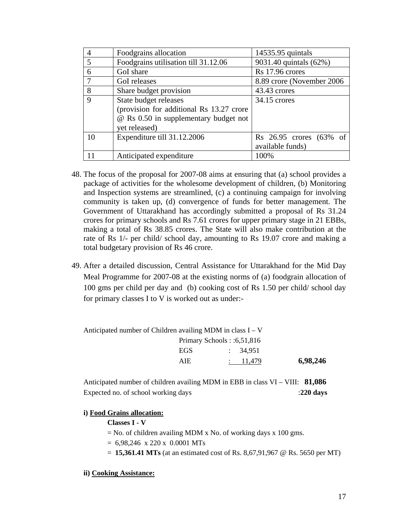| $\overline{4}$ | Foodgrains allocation                    | 14535.95 quintals          |
|----------------|------------------------------------------|----------------------------|
| 5              | Foodgrains utilisation till 31.12.06     | 9031.40 quintals (62%)     |
| 6              | GoI share                                | Rs 17.96 crores            |
|                | GoI releases                             | 8.89 crore (November 2006) |
| 8              | Share budget provision                   | 43.43 crores               |
| 9              | State budget releases                    | 34.15 crores               |
|                | (provision for additional Rs 13.27 crore |                            |
|                | @ Rs 0.50 in supplementary budget not    |                            |
|                | yet released)                            |                            |
| 10             | Expenditure till 31.12.2006              | Rs 26.95 crores (63% of    |
|                |                                          | available funds)           |
| 11             | Anticipated expenditure                  | 100%                       |

- 48. The focus of the proposal for 2007-08 aims at ensuring that (a) school provides a package of activities for the wholesome development of children, (b) Monitoring and Inspection systems are streamlined, (c) a continuing campaign for involving community is taken up, (d) convergence of funds for better management. The Government of Uttarakhand has accordingly submitted a proposal of Rs 31.24 crores for primary schools and Rs 7.61 crores for upper primary stage in 21 EBBs, making a total of Rs 38.85 crores. The State will also make contribution at the rate of Rs 1/- per child/ school day, amounting to Rs 19.07 crore and making a total budgetary provision of Rs 46 crore.
- 49. After a detailed discussion, Central Assistance for Uttarakhand for the Mid Day Meal Programme for 2007-08 at the existing norms of (a) foodgrain allocation of 100 gms per child per day and (b) cooking cost of Rs 1.50 per child/ school day for primary classes I to V is worked out as under:-

| <b>EGS</b> | $\therefore$ 34.951 |                                                                                                          |
|------------|---------------------|----------------------------------------------------------------------------------------------------------|
| AIE.       |                     | 6,98,246                                                                                                 |
|            |                     | Anticipated number of Children availing MDM in class $I - V$<br>Primary Schools: $:6,51,816$<br>: 11,479 |

Anticipated number of children availing MDM in EBB in class VI – VIII: **81,086** Expected no. of school working days :**220 days** 

#### **i) Food Grains allocation:**

**Classes I - V** 

 $=$  No. of children availing MDM x No. of working days x 100 gms.

 $= 6,98,246 \times 220 \times 0.0001 \text{ MTs}$ 

= **15,361.41 MTs** (at an estimated cost of Rs. 8,67,91,967 @ Rs. 5650 per MT)

#### **ii) Cooking Assistance:**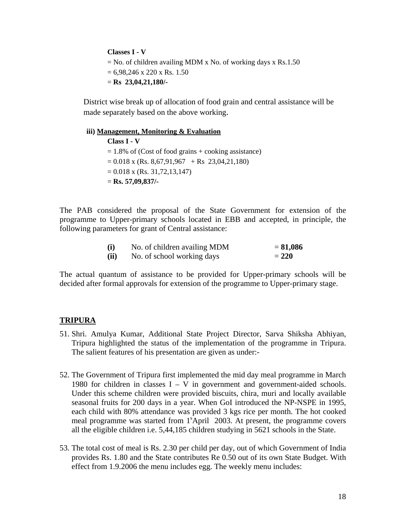**Classes I - V**   $=$  No. of children availing MDM x No. of working days x Rs.1.50  $= 6.98,246 \times 220 \times \text{Rs}. 1.50$ = **Rs 23,04,21,180/-**

District wise break up of allocation of food grain and central assistance will be made separately based on the above working.

**iii) Management, Monitoring & Evaluation Class I - V**   $= 1.8\%$  of (Cost of food grains + cooking assistance)  $= 0.018$  x (Rs. 8,67,91,967 + Rs 23,04,21,180)  $= 0.018$  x (Rs. 31,72,13,147) = **Rs. 57,09,837/-**

The PAB considered the proposal of the State Government for extension of the programme to Upper-primary schools located in EBB and accepted, in principle, the following parameters for grant of Central assistance:

| (i)  | No. of children availing MDM | $= 81,086$ |
|------|------------------------------|------------|
| (ii) | No. of school working days   | $= 220$    |

The actual quantum of assistance to be provided for Upper-primary schools will be decided after formal approvals for extension of the programme to Upper-primary stage.

#### **TRIPURA**

- 51. Shri. Amulya Kumar, Additional State Project Director, Sarva Shiksha Abhiyan, Tripura highlighted the status of the implementation of the programme in Tripura. The salient features of his presentation are given as under:-
- 52. The Government of Tripura first implemented the mid day meal programme in March 1980 for children in classes  $I - V$  in government and government-aided schools. Under this scheme children were provided biscuits, chira, muri and locally available seasonal fruits for 200 days in a year. When GoI introduced the NP-NSPE in 1995, each child with 80% attendance was provided 3 kgs rice per month. The hot cooked meal programme was started from  $1<sup>s</sup>$ April 2003. At present, the programme covers all the eligible children i.e. 5,44,185 children studying in 5621 schools in the State.
- 53. The total cost of meal is Rs. 2.30 per child per day, out of which Government of India provides Rs. 1.80 and the State contributes Re 0.50 out of its own State Budget. With effect from 1.9.2006 the menu includes egg. The weekly menu includes: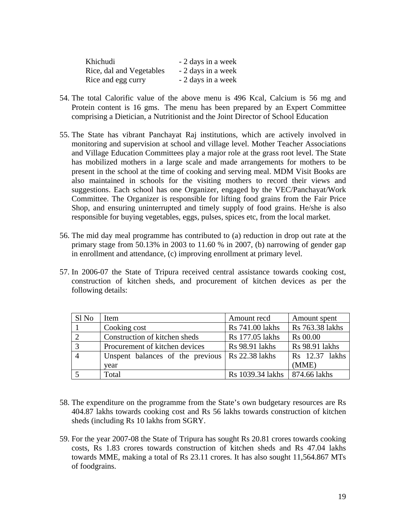| Khichudi                 | - 2 days in a week |
|--------------------------|--------------------|
| Rice, dal and Vegetables | - 2 days in a week |
| Rice and egg curry       | - 2 days in a week |

- 54. The total Calorific value of the above menu is 496 Kcal, Calcium is 56 mg and Protein content is 16 gms. The menu has been prepared by an Expert Committee comprising a Dietician, a Nutritionist and the Joint Director of School Education
- 55. The State has vibrant Panchayat Raj institutions, which are actively involved in monitoring and supervision at school and village level. Mother Teacher Associations and Village Education Committees play a major role at the grass root level. The State has mobilized mothers in a large scale and made arrangements for mothers to be present in the school at the time of cooking and serving meal. MDM Visit Books are also maintained in schools for the visiting mothers to record their views and suggestions. Each school has one Organizer, engaged by the VEC/Panchayat/Work Committee. The Organizer is responsible for lifting food grains from the Fair Price Shop, and ensuring uninterrupted and timely supply of food grains. He/she is also responsible for buying vegetables, eggs, pulses, spices etc, from the local market.
- 56. The mid day meal programme has contributed to (a) reduction in drop out rate at the primary stage from 50.13% in 2003 to 11.60 % in 2007, (b) narrowing of gender gap in enrollment and attendance, (c) improving enrollment at primary level.
- 57. In 2006-07 the State of Tripura received central assistance towards cooking cost, construction of kitchen sheds, and procurement of kitchen devices as per the following details:

| Sl <sub>No</sub> | Item                                                    | Amount recd                     | Amount spent          |
|------------------|---------------------------------------------------------|---------------------------------|-----------------------|
|                  | Cooking cost                                            | Rs 741.00 lakhs                 | Rs 763.38 lakhs       |
| $\bigcirc$       | Construction of kitchen sheds                           | Rs 177.05 lakhs                 | <b>Rs</b> 00.00       |
| $\mathbf{c}$     | Procurement of kitchen devices                          | <b>Rs</b> 98.91 lakhs           | <b>Rs</b> 98.91 lakhs |
|                  | Unspent balances of the previous $\vert$ Rs 22.38 lakhs |                                 | Rs 12.37 lakhs        |
|                  | vear                                                    |                                 | (MME)                 |
|                  | Total                                                   | Rs 1039.34 lakhs   874.66 lakhs |                       |

- 58. The expenditure on the programme from the State's own budgetary resources are Rs 404.87 lakhs towards cooking cost and Rs 56 lakhs towards construction of kitchen sheds (including Rs 10 lakhs from SGRY.
- 59. For the year 2007-08 the State of Tripura has sought Rs 20.81 crores towards cooking costs, Rs 1.83 crores towards construction of kitchen sheds and Rs 47.04 lakhs towards MME, making a total of Rs 23.11 crores. It has also sought 11,564.867 MTs of foodgrains.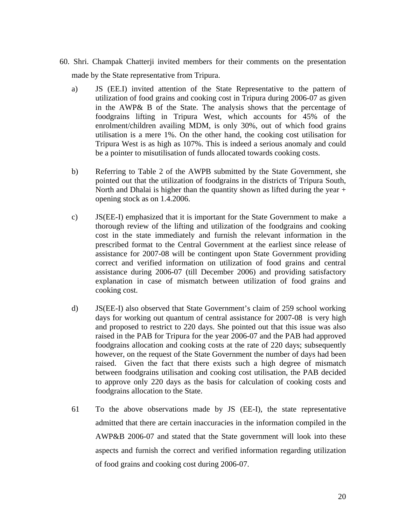- 60. Shri. Champak Chatterji invited members for their comments on the presentation made by the State representative from Tripura.
	- a) JS (EE.I) invited attention of the State Representative to the pattern of utilization of food grains and cooking cost in Tripura during 2006-07 as given in the AWP& B of the State. The analysis shows that the percentage of foodgrains lifting in Tripura West, which accounts for 45% of the enrolment/children availing MDM, is only 30%, out of which food grains utilisation is a mere 1%. On the other hand, the cooking cost utilisation for Tripura West is as high as 107%. This is indeed a serious anomaly and could be a pointer to misutilisation of funds allocated towards cooking costs.
	- b) Referring to Table 2 of the AWPB submitted by the State Government, she pointed out that the utilization of foodgrains in the districts of Tripura South, North and Dhalai is higher than the quantity shown as lifted during the year + opening stock as on 1.4.2006.
	- c) JS(EE-I) emphasized that it is important for the State Government to make a thorough review of the lifting and utilization of the foodgrains and cooking cost in the state immediately and furnish the relevant information in the prescribed format to the Central Government at the earliest since release of assistance for 2007-08 will be contingent upon State Government providing correct and verified information on utilization of food grains and central assistance during 2006-07 (till December 2006) and providing satisfactory explanation in case of mismatch between utilization of food grains and cooking cost.
	- d) JS(EE-I) also observed that State Government's claim of 259 school working days for working out quantum of central assistance for 2007-08 is very high and proposed to restrict to 220 days. She pointed out that this issue was also raised in the PAB for Tripura for the year 2006-07 and the PAB had approved foodgrains allocation and cooking costs at the rate of 220 days; subsequently however, on the request of the State Government the number of days had been raised. Given the fact that there exists such a high degree of mismatch between foodgrains utilisation and cooking cost utilisation, the PAB decided to approve only 220 days as the basis for calculation of cooking costs and foodgrains allocation to the State.
	- 61 To the above observations made by JS (EE-I), the state representative admitted that there are certain inaccuracies in the information compiled in the AWP&B 2006-07 and stated that the State government will look into these aspects and furnish the correct and verified information regarding utilization of food grains and cooking cost during 2006-07.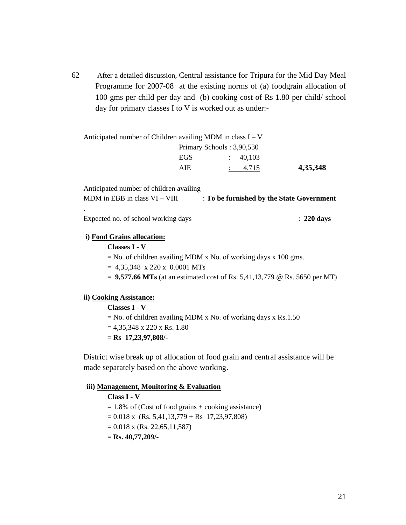62 After a detailed discussion, Central assistance for Tripura for the Mid Day Meal Programme for 2007-08 at the existing norms of (a) foodgrain allocation of 100 gms per child per day and (b) cooking cost of Rs 1.80 per child/ school day for primary classes I to V is worked out as under:-

| Anticipated number of Children availing MDM in class $I - V$ |                           |                     |          |
|--------------------------------------------------------------|---------------------------|---------------------|----------|
|                                                              | Primary Schools: 3,90,530 |                     |          |
|                                                              | EGS                       | $\therefore$ 40.103 |          |
|                                                              | AIE.                      | $\therefore$ 4.715  | 4,35,348 |
|                                                              |                           |                     |          |

Anticipated number of children availing MDM in EBB in class VI – VIII : **To be furnished by the State Government** .

Expected no. of school working days : **220 days**

### **i) Food Grains allocation:**

**Classes I - V** 

 $=$  No. of children availing MDM x No. of working days x 100 gms.

 $= 4,35,348 \times 220 \times 0.0001 \text{ MTs}$ 

= **9,577.66 MTs** (at an estimated cost of Rs. 5,41,13,779 @ Rs. 5650 per MT)

### **ii) Cooking Assistance:**

### **Classes I - V**

 $=$  No. of children availing MDM x No. of working days x Rs.1.50

 $= 4,35,348 \times 220 \times \text{Rs}. 1.80$ 

= **Rs 17,23,97,808/-**

District wise break up of allocation of food grain and central assistance will be made separately based on the above working.

#### **iii) Management, Monitoring & Evaluation**

**Class I - V**   $= 1.8\%$  of (Cost of food grains + cooking assistance)  $= 0.018$  x (Rs. 5,41,13,779 + Rs 17,23,97,808)  $= 0.018$  x (Rs. 22,65,11,587) = **Rs. 40,77,209/-**